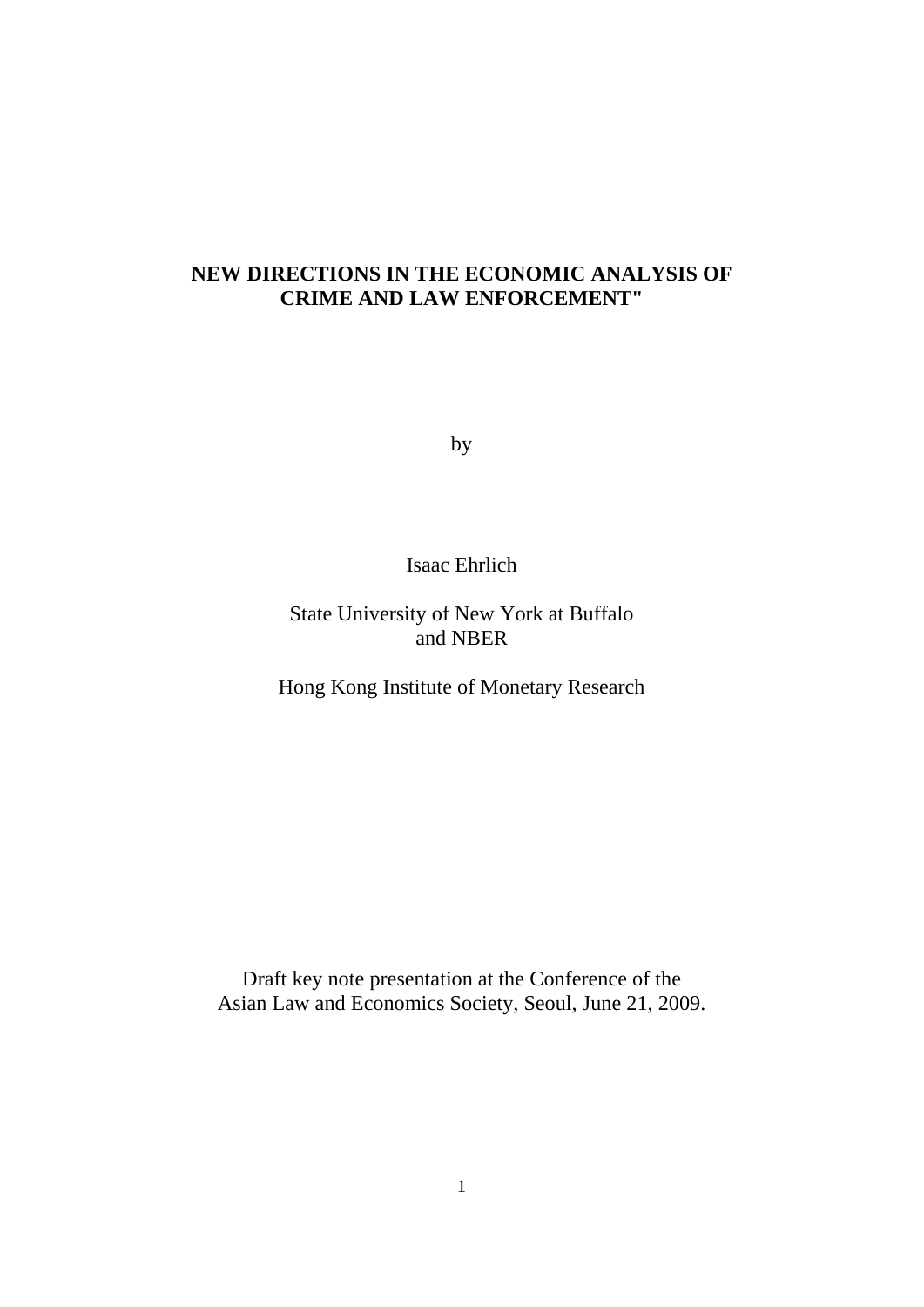# **NEW DIRECTIONS IN THE ECONOMIC ANALYSIS OF CRIME AND LAW ENFORCEMENT"**

by

Isaac Ehrlich

State University of New York at Buffalo and NBER

Hong Kong Institute of Monetary Research

Draft key note presentation at the Conference of the Asian Law and Economics Society, Seoul, June 21, 2009.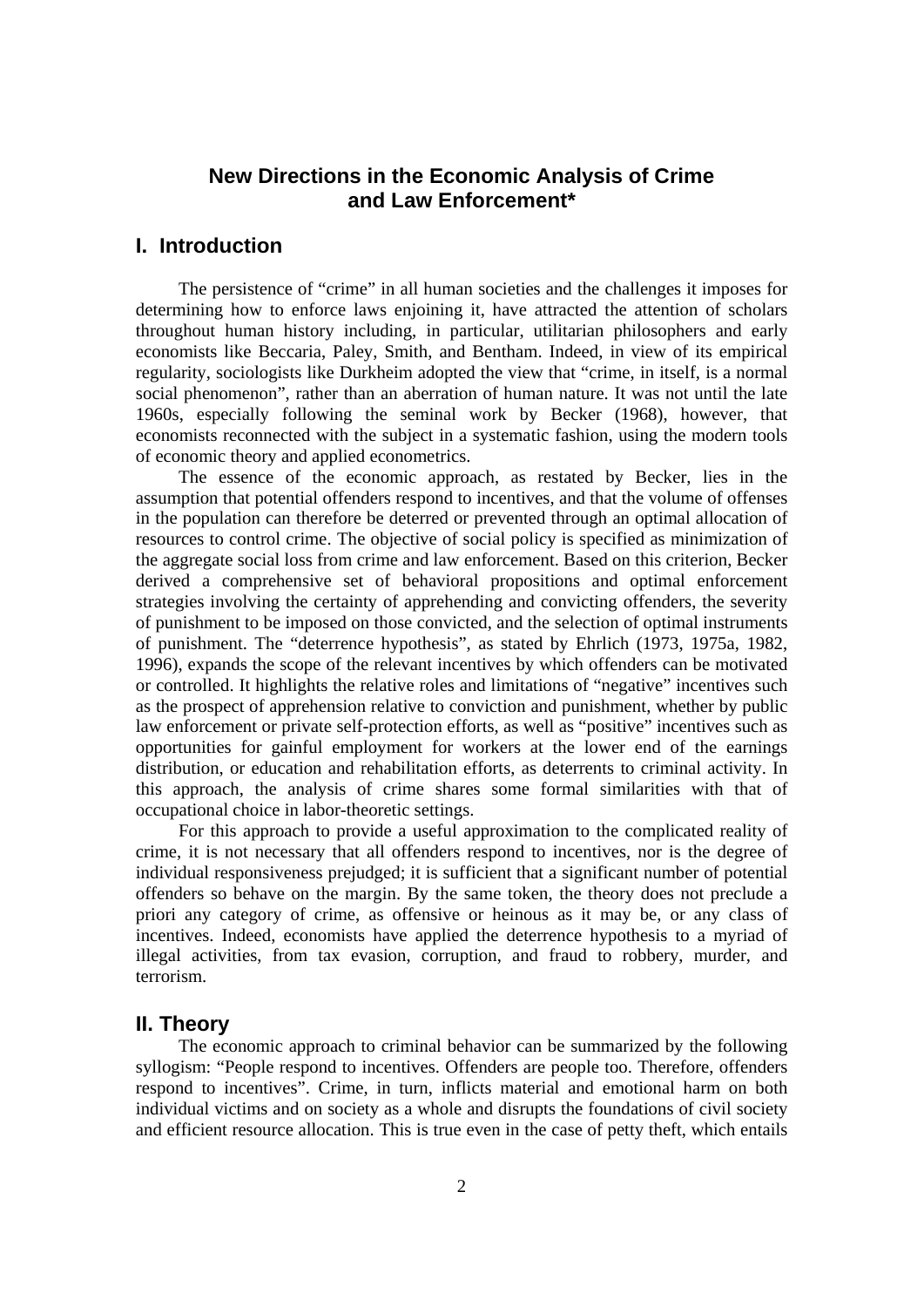# **New Directions in the Economic Analysis of Crime and Law Enforcement\***

### **I. Introduction**

The persistence of "crime" in all human societies and the challenges it imposes for determining how to enforce laws enjoining it, have attracted the attention of scholars throughout human history including, in particular, utilitarian philosophers and early economists like Beccaria, Paley, Smith, and Bentham. Indeed, in view of its empirical regularity, sociologists like Durkheim adopted the view that "crime, in itself, is a normal social phenomenon", rather than an aberration of human nature. It was not until the late 1960s, especially following the seminal work by Becker (1968), however, that economists reconnected with the subject in a systematic fashion, using the modern tools of economic theory and applied econometrics.

The essence of the economic approach, as restated by Becker, lies in the assumption that potential offenders respond to incentives, and that the volume of offenses in the population can therefore be deterred or prevented through an optimal allocation of resources to control crime. The objective of social policy is specified as minimization of the aggregate social loss from crime and law enforcement. Based on this criterion, Becker derived a comprehensive set of behavioral propositions and optimal enforcement strategies involving the certainty of apprehending and convicting offenders, the severity of punishment to be imposed on those convicted, and the selection of optimal instruments of punishment. The "deterrence hypothesis", as stated by Ehrlich (1973, 1975a, 1982, 1996), expands the scope of the relevant incentives by which offenders can be motivated or controlled. It highlights the relative roles and limitations of "negative" incentives such as the prospect of apprehension relative to conviction and punishment, whether by public law enforcement or private self-protection efforts, as well as "positive" incentives such as opportunities for gainful employment for workers at the lower end of the earnings distribution, or education and rehabilitation efforts, as deterrents to criminal activity. In this approach, the analysis of crime shares some formal similarities with that of occupational choice in labor-theoretic settings.

For this approach to provide a useful approximation to the complicated reality of crime, it is not necessary that all offenders respond to incentives, nor is the degree of individual responsiveness prejudged; it is sufficient that a significant number of potential offenders so behave on the margin. By the same token, the theory does not preclude a priori any category of crime, as offensive or heinous as it may be, or any class of incentives. Indeed, economists have applied the deterrence hypothesis to a myriad of illegal activities, from tax evasion, corruption, and fraud to robbery, murder, and terrorism.

### **II. Theory**

The economic approach to criminal behavior can be summarized by the following syllogism: "People respond to incentives. Offenders are people too. Therefore, offenders respond to incentives". Crime, in turn, inflicts material and emotional harm on both individual victims and on society as a whole and disrupts the foundations of civil society and efficient resource allocation. This is true even in the case of petty theft, which entails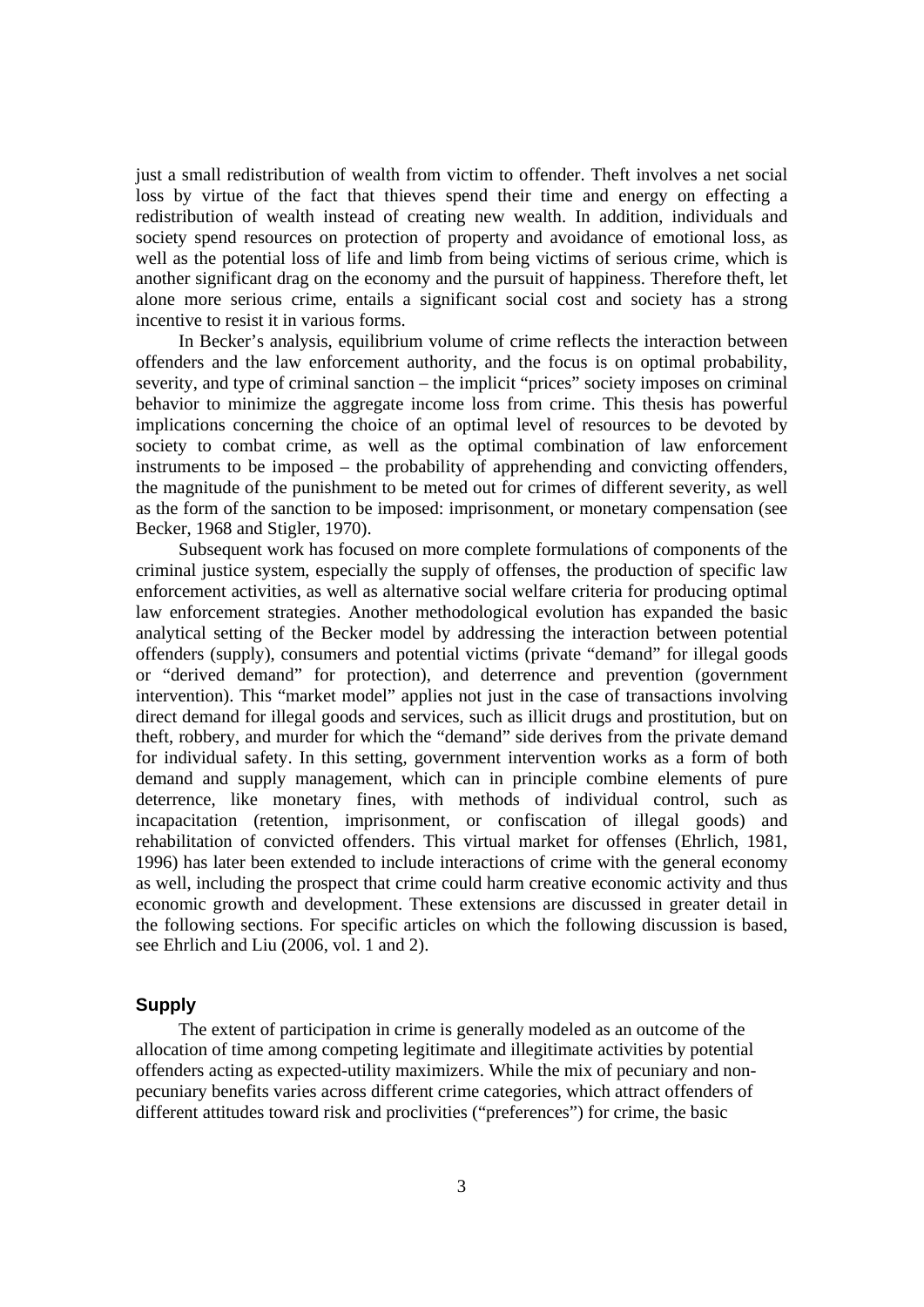just a small redistribution of wealth from victim to offender. Theft involves a net social loss by virtue of the fact that thieves spend their time and energy on effecting a redistribution of wealth instead of creating new wealth. In addition, individuals and society spend resources on protection of property and avoidance of emotional loss, as well as the potential loss of life and limb from being victims of serious crime, which is another significant drag on the economy and the pursuit of happiness. Therefore theft, let alone more serious crime, entails a significant social cost and society has a strong incentive to resist it in various forms.

In Becker's analysis, equilibrium volume of crime reflects the interaction between offenders and the law enforcement authority, and the focus is on optimal probability, severity, and type of criminal sanction – the implicit "prices" society imposes on criminal behavior to minimize the aggregate income loss from crime. This thesis has powerful implications concerning the choice of an optimal level of resources to be devoted by society to combat crime, as well as the optimal combination of law enforcement instruments to be imposed – the probability of apprehending and convicting offenders, the magnitude of the punishment to be meted out for crimes of different severity, as well as the form of the sanction to be imposed: imprisonment, or monetary compensation (see Becker, 1968 and Stigler, 1970).

Subsequent work has focused on more complete formulations of components of the criminal justice system, especially the supply of offenses, the production of specific law enforcement activities, as well as alternative social welfare criteria for producing optimal law enforcement strategies. Another methodological evolution has expanded the basic analytical setting of the Becker model by addressing the interaction between potential offenders (supply), consumers and potential victims (private "demand" for illegal goods or "derived demand" for protection), and deterrence and prevention (government intervention). This "market model" applies not just in the case of transactions involving direct demand for illegal goods and services, such as illicit drugs and prostitution, but on theft, robbery, and murder for which the "demand" side derives from the private demand for individual safety. In this setting, government intervention works as a form of both demand and supply management, which can in principle combine elements of pure deterrence, like monetary fines, with methods of individual control, such as incapacitation (retention, imprisonment, or confiscation of illegal goods) and rehabilitation of convicted offenders. This virtual market for offenses (Ehrlich, 1981, 1996) has later been extended to include interactions of crime with the general economy as well, including the prospect that crime could harm creative economic activity and thus economic growth and development. These extensions are discussed in greater detail in the following sections. For specific articles on which the following discussion is based, see Ehrlich and Liu (2006, vol. 1 and 2).

#### **Supply**

The extent of participation in crime is generally modeled as an outcome of the allocation of time among competing legitimate and illegitimate activities by potential offenders acting as expected-utility maximizers. While the mix of pecuniary and nonpecuniary benefits varies across different crime categories, which attract offenders of different attitudes toward risk and proclivities ("preferences") for crime, the basic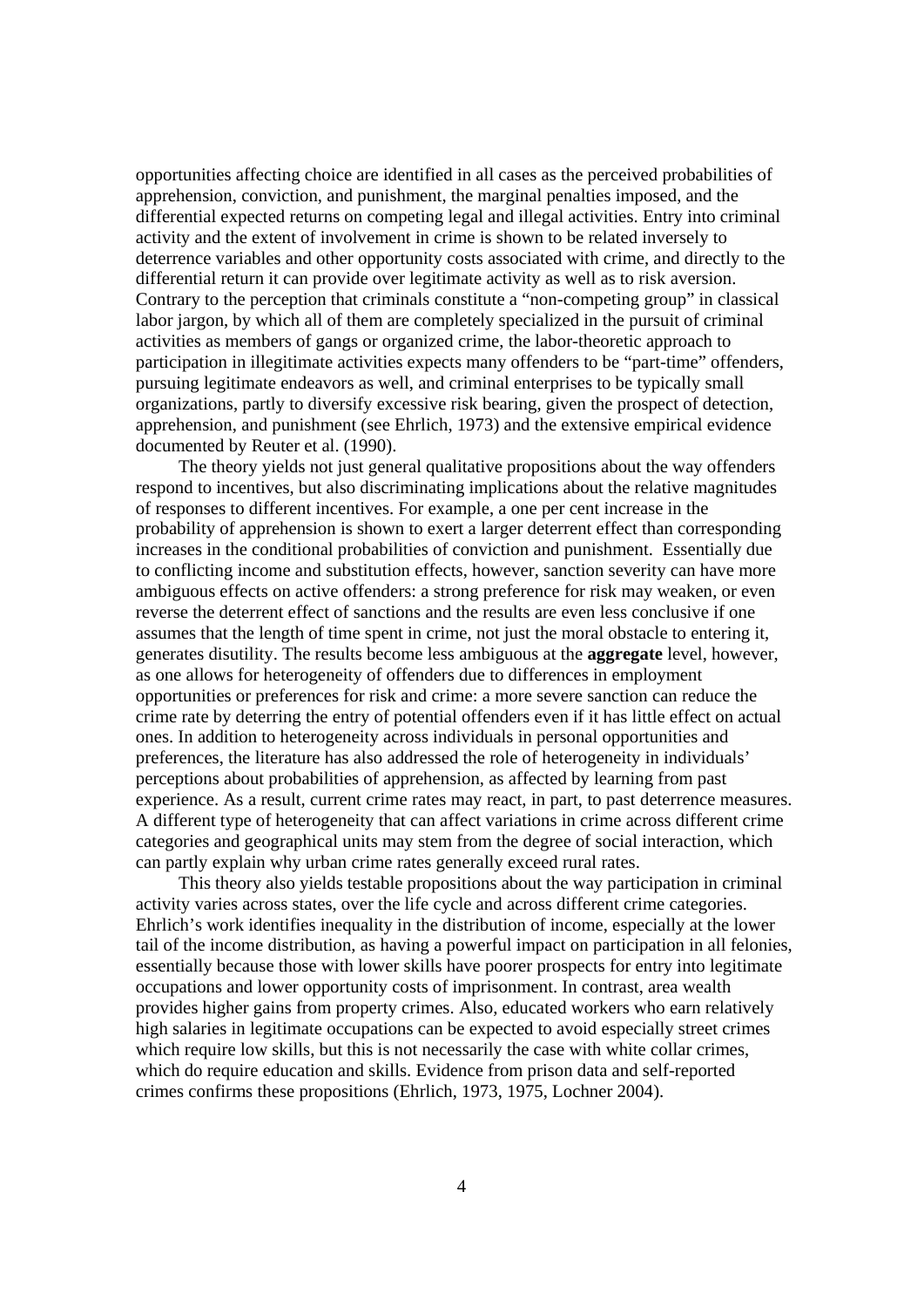opportunities affecting choice are identified in all cases as the perceived probabilities of apprehension, conviction, and punishment, the marginal penalties imposed, and the differential expected returns on competing legal and illegal activities. Entry into criminal activity and the extent of involvement in crime is shown to be related inversely to deterrence variables and other opportunity costs associated with crime, and directly to the differential return it can provide over legitimate activity as well as to risk aversion. Contrary to the perception that criminals constitute a "non-competing group" in classical labor jargon, by which all of them are completely specialized in the pursuit of criminal activities as members of gangs or organized crime, the labor-theoretic approach to participation in illegitimate activities expects many offenders to be "part-time" offenders, pursuing legitimate endeavors as well, and criminal enterprises to be typically small organizations, partly to diversify excessive risk bearing, given the prospect of detection, apprehension, and punishment (see Ehrlich, 1973) and the extensive empirical evidence documented by Reuter et al. (1990).

The theory yields not just general qualitative propositions about the way offenders respond to incentives, but also discriminating implications about the relative magnitudes of responses to different incentives. For example, a one per cent increase in the probability of apprehension is shown to exert a larger deterrent effect than corresponding increases in the conditional probabilities of conviction and punishment. Essentially due to conflicting income and substitution effects, however, sanction severity can have more ambiguous effects on active offenders: a strong preference for risk may weaken, or even reverse the deterrent effect of sanctions and the results are even less conclusive if one assumes that the length of time spent in crime, not just the moral obstacle to entering it, generates disutility. The results become less ambiguous at the **aggregate** level, however, as one allows for heterogeneity of offenders due to differences in employment opportunities or preferences for risk and crime: a more severe sanction can reduce the crime rate by deterring the entry of potential offenders even if it has little effect on actual ones. In addition to heterogeneity across individuals in personal opportunities and preferences, the literature has also addressed the role of heterogeneity in individuals' perceptions about probabilities of apprehension, as affected by learning from past experience. As a result, current crime rates may react, in part, to past deterrence measures. A different type of heterogeneity that can affect variations in crime across different crime categories and geographical units may stem from the degree of social interaction, which can partly explain why urban crime rates generally exceed rural rates.

This theory also yields testable propositions about the way participation in criminal activity varies across states, over the life cycle and across different crime categories. Ehrlich's work identifies inequality in the distribution of income, especially at the lower tail of the income distribution, as having a powerful impact on participation in all felonies, essentially because those with lower skills have poorer prospects for entry into legitimate occupations and lower opportunity costs of imprisonment. In contrast, area wealth provides higher gains from property crimes. Also, educated workers who earn relatively high salaries in legitimate occupations can be expected to avoid especially street crimes which require low skills, but this is not necessarily the case with white collar crimes, which do require education and skills. Evidence from prison data and self-reported crimes confirms these propositions (Ehrlich, 1973, 1975, Lochner 2004).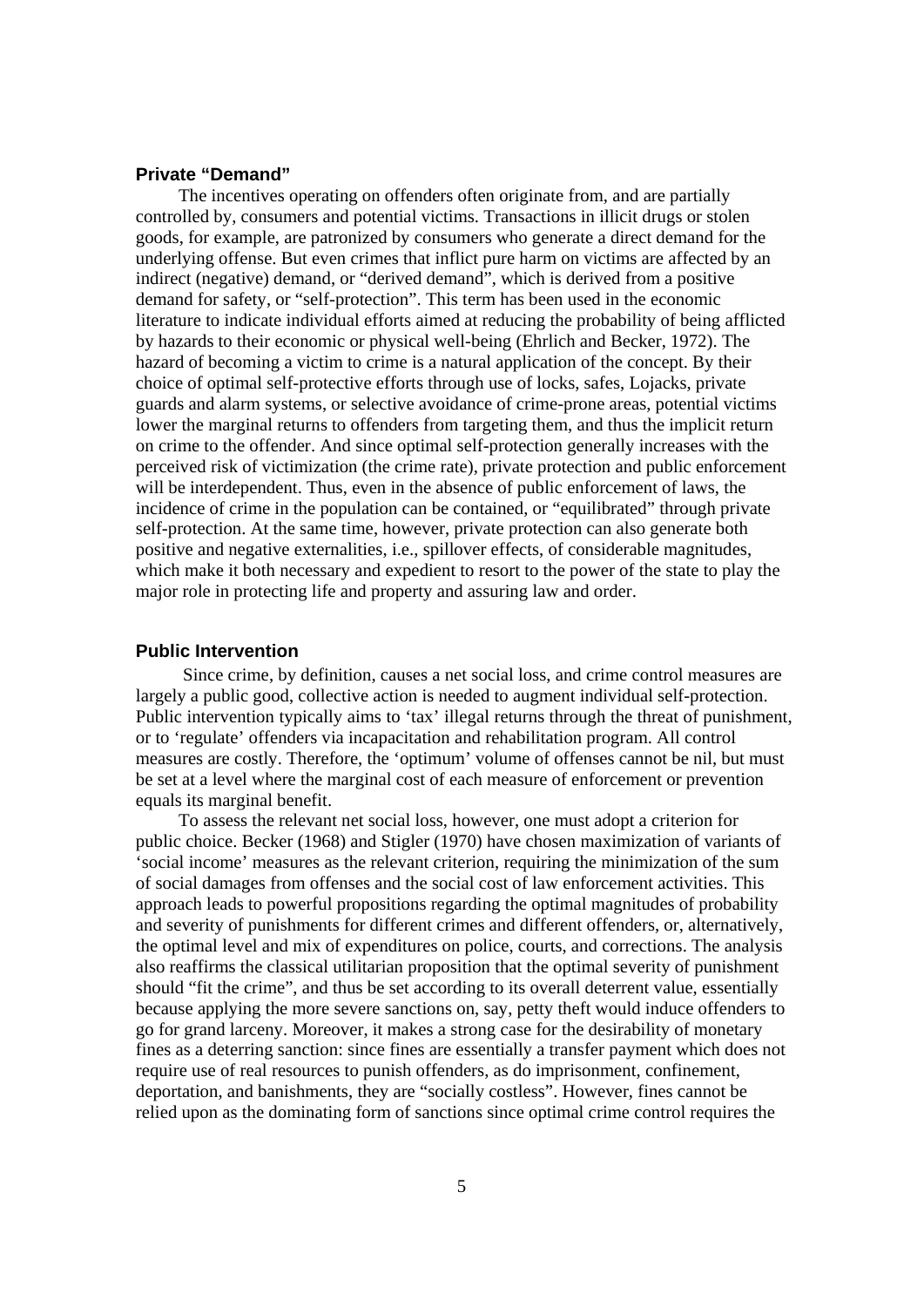#### **Private "Demand"**

The incentives operating on offenders often originate from, and are partially controlled by, consumers and potential victims. Transactions in illicit drugs or stolen goods, for example, are patronized by consumers who generate a direct demand for the underlying offense. But even crimes that inflict pure harm on victims are affected by an indirect (negative) demand, or "derived demand", which is derived from a positive demand for safety, or "self-protection". This term has been used in the economic literature to indicate individual efforts aimed at reducing the probability of being afflicted by hazards to their economic or physical well-being (Ehrlich and Becker, 1972). The hazard of becoming a victim to crime is a natural application of the concept. By their choice of optimal self-protective efforts through use of locks, safes, Lojacks, private guards and alarm systems, or selective avoidance of crime-prone areas, potential victims lower the marginal returns to offenders from targeting them, and thus the implicit return on crime to the offender. And since optimal self-protection generally increases with the perceived risk of victimization (the crime rate), private protection and public enforcement will be interdependent. Thus, even in the absence of public enforcement of laws, the incidence of crime in the population can be contained, or "equilibrated" through private self-protection. At the same time, however, private protection can also generate both positive and negative externalities, i.e., spillover effects, of considerable magnitudes, which make it both necessary and expedient to resort to the power of the state to play the major role in protecting life and property and assuring law and order.

#### **Public Intervention**

 Since crime, by definition, causes a net social loss, and crime control measures are largely a public good, collective action is needed to augment individual self-protection. Public intervention typically aims to 'tax' illegal returns through the threat of punishment, or to 'regulate' offenders via incapacitation and rehabilitation program. All control measures are costly. Therefore, the 'optimum' volume of offenses cannot be nil, but must be set at a level where the marginal cost of each measure of enforcement or prevention equals its marginal benefit.

To assess the relevant net social loss, however, one must adopt a criterion for public choice. Becker (1968) and Stigler (1970) have chosen maximization of variants of 'social income' measures as the relevant criterion, requiring the minimization of the sum of social damages from offenses and the social cost of law enforcement activities. This approach leads to powerful propositions regarding the optimal magnitudes of probability and severity of punishments for different crimes and different offenders, or, alternatively, the optimal level and mix of expenditures on police, courts, and corrections. The analysis also reaffirms the classical utilitarian proposition that the optimal severity of punishment should "fit the crime", and thus be set according to its overall deterrent value, essentially because applying the more severe sanctions on, say, petty theft would induce offenders to go for grand larceny. Moreover, it makes a strong case for the desirability of monetary fines as a deterring sanction: since fines are essentially a transfer payment which does not require use of real resources to punish offenders, as do imprisonment, confinement, deportation, and banishments, they are "socially costless". However, fines cannot be relied upon as the dominating form of sanctions since optimal crime control requires the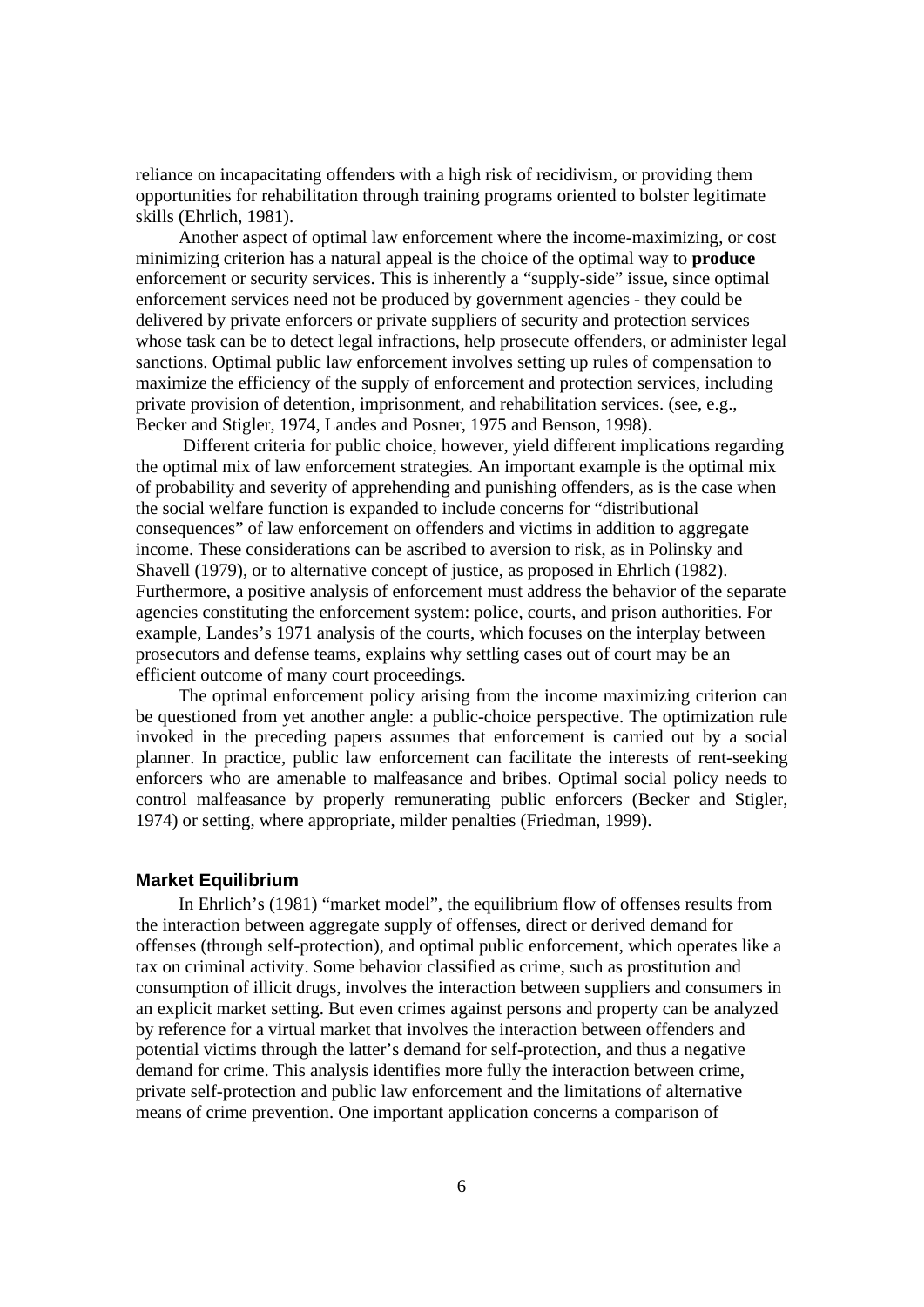reliance on incapacitating offenders with a high risk of recidivism, or providing them opportunities for rehabilitation through training programs oriented to bolster legitimate skills (Ehrlich, 1981).

Another aspect of optimal law enforcement where the income-maximizing, or cost minimizing criterion has a natural appeal is the choice of the optimal way to **produce**  enforcement or security services. This is inherently a "supply-side" issue, since optimal enforcement services need not be produced by government agencies - they could be delivered by private enforcers or private suppliers of security and protection services whose task can be to detect legal infractions, help prosecute offenders, or administer legal sanctions. Optimal public law enforcement involves setting up rules of compensation to maximize the efficiency of the supply of enforcement and protection services, including private provision of detention, imprisonment, and rehabilitation services. (see, e.g., Becker and Stigler, 1974, Landes and Posner, 1975 and Benson, 1998).

 Different criteria for public choice, however, yield different implications regarding the optimal mix of law enforcement strategies. An important example is the optimal mix of probability and severity of apprehending and punishing offenders, as is the case when the social welfare function is expanded to include concerns for "distributional consequences" of law enforcement on offenders and victims in addition to aggregate income. These considerations can be ascribed to aversion to risk, as in Polinsky and Shavell (1979), or to alternative concept of justice, as proposed in Ehrlich (1982). Furthermore, a positive analysis of enforcement must address the behavior of the separate agencies constituting the enforcement system: police, courts, and prison authorities. For example, Landes's 1971 analysis of the courts, which focuses on the interplay between prosecutors and defense teams, explains why settling cases out of court may be an efficient outcome of many court proceedings.

The optimal enforcement policy arising from the income maximizing criterion can be questioned from yet another angle: a public-choice perspective. The optimization rule invoked in the preceding papers assumes that enforcement is carried out by a social planner. In practice, public law enforcement can facilitate the interests of rent-seeking enforcers who are amenable to malfeasance and bribes. Optimal social policy needs to control malfeasance by properly remunerating public enforcers (Becker and Stigler, 1974) or setting, where appropriate, milder penalties (Friedman, 1999).

#### **Market Equilibrium**

In Ehrlich's (1981) "market model", the equilibrium flow of offenses results from the interaction between aggregate supply of offenses, direct or derived demand for offenses (through self-protection), and optimal public enforcement, which operates like a tax on criminal activity. Some behavior classified as crime, such as prostitution and consumption of illicit drugs, involves the interaction between suppliers and consumers in an explicit market setting. But even crimes against persons and property can be analyzed by reference for a virtual market that involves the interaction between offenders and potential victims through the latter's demand for self-protection, and thus a negative demand for crime. This analysis identifies more fully the interaction between crime, private self-protection and public law enforcement and the limitations of alternative means of crime prevention. One important application concerns a comparison of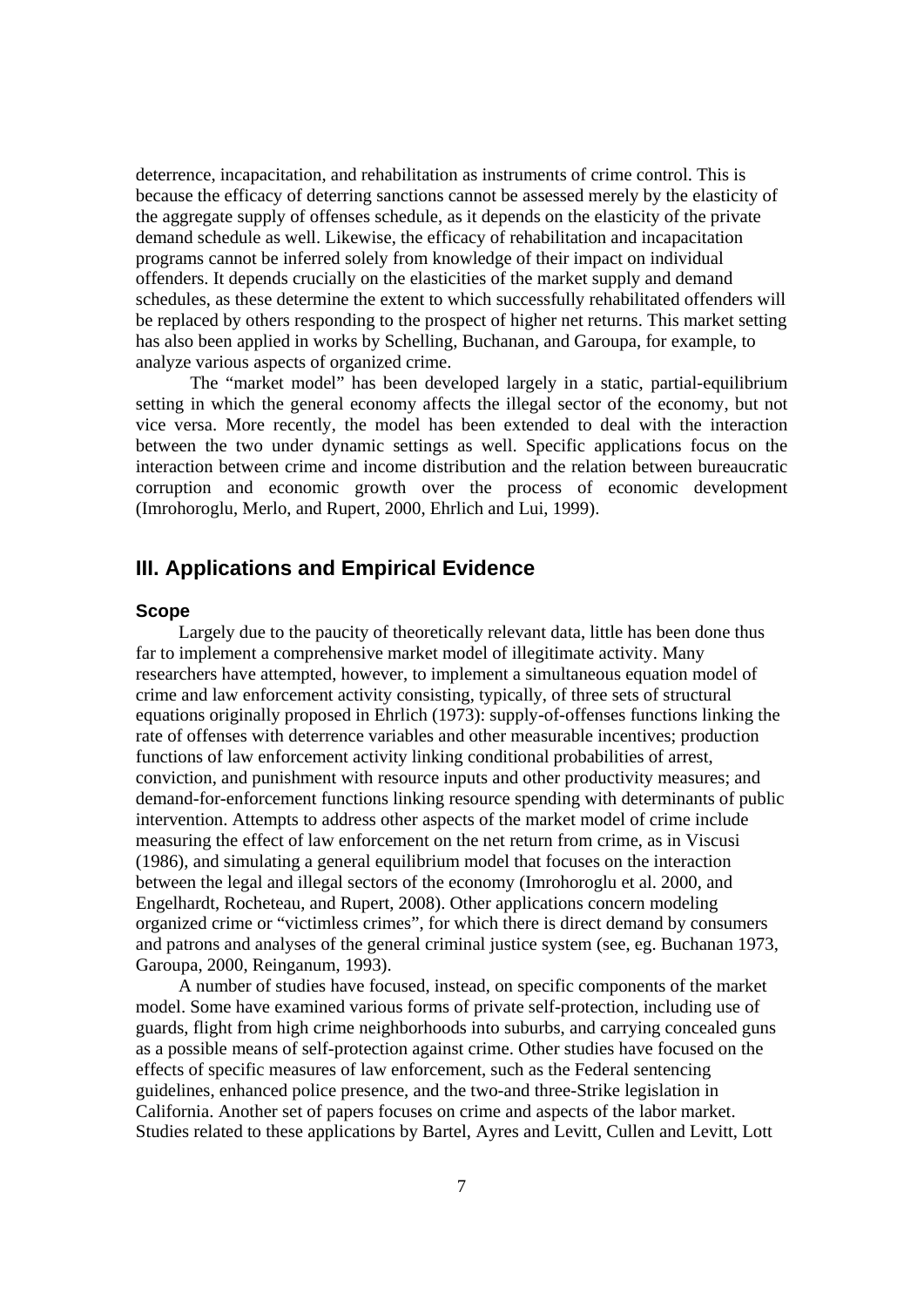deterrence, incapacitation, and rehabilitation as instruments of crime control. This is because the efficacy of deterring sanctions cannot be assessed merely by the elasticity of the aggregate supply of offenses schedule, as it depends on the elasticity of the private demand schedule as well. Likewise, the efficacy of rehabilitation and incapacitation programs cannot be inferred solely from knowledge of their impact on individual offenders. It depends crucially on the elasticities of the market supply and demand schedules, as these determine the extent to which successfully rehabilitated offenders will be replaced by others responding to the prospect of higher net returns. This market setting has also been applied in works by Schelling, Buchanan, and Garoupa, for example, to analyze various aspects of organized crime.

The "market model" has been developed largely in a static, partial-equilibrium setting in which the general economy affects the illegal sector of the economy, but not vice versa. More recently, the model has been extended to deal with the interaction between the two under dynamic settings as well. Specific applications focus on the interaction between crime and income distribution and the relation between bureaucratic corruption and economic growth over the process of economic development (Imrohoroglu, Merlo, and Rupert, 2000, Ehrlich and Lui, 1999).

### **III. Applications and Empirical Evidence**

### **Scope**

Largely due to the paucity of theoretically relevant data, little has been done thus far to implement a comprehensive market model of illegitimate activity. Many researchers have attempted, however, to implement a simultaneous equation model of crime and law enforcement activity consisting, typically, of three sets of structural equations originally proposed in Ehrlich (1973): supply-of-offenses functions linking the rate of offenses with deterrence variables and other measurable incentives; production functions of law enforcement activity linking conditional probabilities of arrest, conviction, and punishment with resource inputs and other productivity measures; and demand-for-enforcement functions linking resource spending with determinants of public intervention. Attempts to address other aspects of the market model of crime include measuring the effect of law enforcement on the net return from crime, as in Viscusi (1986), and simulating a general equilibrium model that focuses on the interaction between the legal and illegal sectors of the economy (Imrohoroglu et al. 2000, and Engelhardt, Rocheteau, and Rupert, 2008). Other applications concern modeling organized crime or "victimless crimes", for which there is direct demand by consumers and patrons and analyses of the general criminal justice system (see, eg. Buchanan 1973, Garoupa, 2000, Reinganum, 1993).

A number of studies have focused, instead, on specific components of the market model. Some have examined various forms of private self-protection, including use of guards, flight from high crime neighborhoods into suburbs, and carrying concealed guns as a possible means of self-protection against crime. Other studies have focused on the effects of specific measures of law enforcement, such as the Federal sentencing guidelines, enhanced police presence, and the two-and three-Strike legislation in California. Another set of papers focuses on crime and aspects of the labor market. Studies related to these applications by Bartel, Ayres and Levitt, Cullen and Levitt, Lott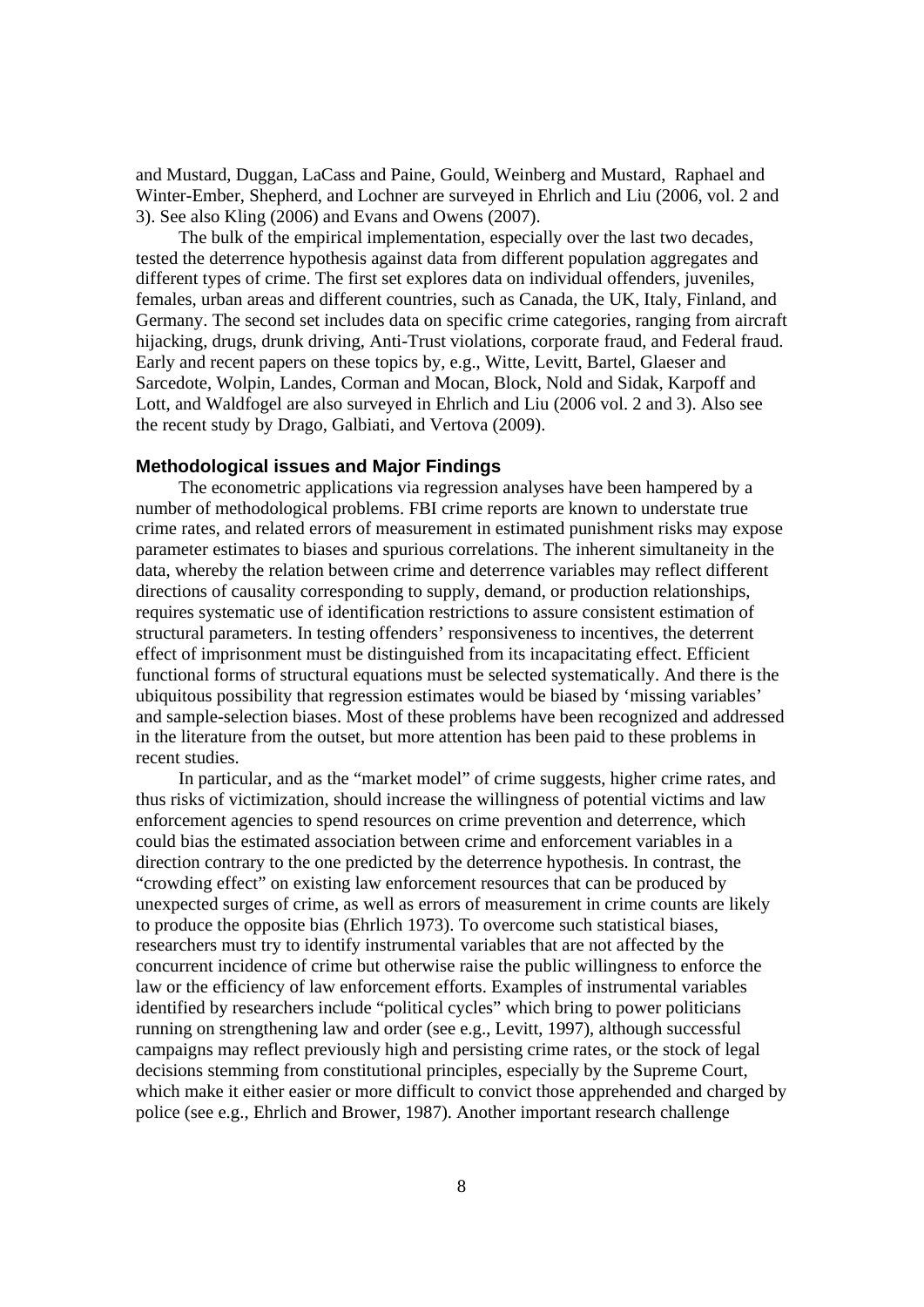and Mustard, Duggan, LaCass and Paine, Gould, Weinberg and Mustard, Raphael and Winter-Ember, Shepherd, and Lochner are surveyed in Ehrlich and Liu (2006, vol. 2 and 3). See also Kling (2006) and Evans and Owens (2007).

The bulk of the empirical implementation, especially over the last two decades, tested the deterrence hypothesis against data from different population aggregates and different types of crime. The first set explores data on individual offenders, juveniles, females, urban areas and different countries, such as Canada, the UK, Italy, Finland, and Germany. The second set includes data on specific crime categories, ranging from aircraft hijacking, drugs, drunk driving, Anti-Trust violations, corporate fraud, and Federal fraud. Early and recent papers on these topics by, e.g., Witte, Levitt, Bartel, Glaeser and Sarcedote, Wolpin, Landes, Corman and Mocan, Block, Nold and Sidak, Karpoff and Lott, and Waldfogel are also surveyed in Ehrlich and Liu (2006 vol. 2 and 3). Also see the recent study by Drago, Galbiati, and Vertova (2009).

#### **Methodological issues and Major Findings**

The econometric applications via regression analyses have been hampered by a number of methodological problems. FBI crime reports are known to understate true crime rates, and related errors of measurement in estimated punishment risks may expose parameter estimates to biases and spurious correlations. The inherent simultaneity in the data, whereby the relation between crime and deterrence variables may reflect different directions of causality corresponding to supply, demand, or production relationships, requires systematic use of identification restrictions to assure consistent estimation of structural parameters. In testing offenders' responsiveness to incentives, the deterrent effect of imprisonment must be distinguished from its incapacitating effect. Efficient functional forms of structural equations must be selected systematically. And there is the ubiquitous possibility that regression estimates would be biased by 'missing variables' and sample-selection biases. Most of these problems have been recognized and addressed in the literature from the outset, but more attention has been paid to these problems in recent studies.

In particular, and as the "market model" of crime suggests, higher crime rates, and thus risks of victimization, should increase the willingness of potential victims and law enforcement agencies to spend resources on crime prevention and deterrence, which could bias the estimated association between crime and enforcement variables in a direction contrary to the one predicted by the deterrence hypothesis. In contrast, the "crowding effect" on existing law enforcement resources that can be produced by unexpected surges of crime, as well as errors of measurement in crime counts are likely to produce the opposite bias (Ehrlich 1973). To overcome such statistical biases, researchers must try to identify instrumental variables that are not affected by the concurrent incidence of crime but otherwise raise the public willingness to enforce the law or the efficiency of law enforcement efforts. Examples of instrumental variables identified by researchers include "political cycles" which bring to power politicians running on strengthening law and order (see e.g., Levitt, 1997), although successful campaigns may reflect previously high and persisting crime rates, or the stock of legal decisions stemming from constitutional principles, especially by the Supreme Court, which make it either easier or more difficult to convict those apprehended and charged by police (see e.g., Ehrlich and Brower, 1987). Another important research challenge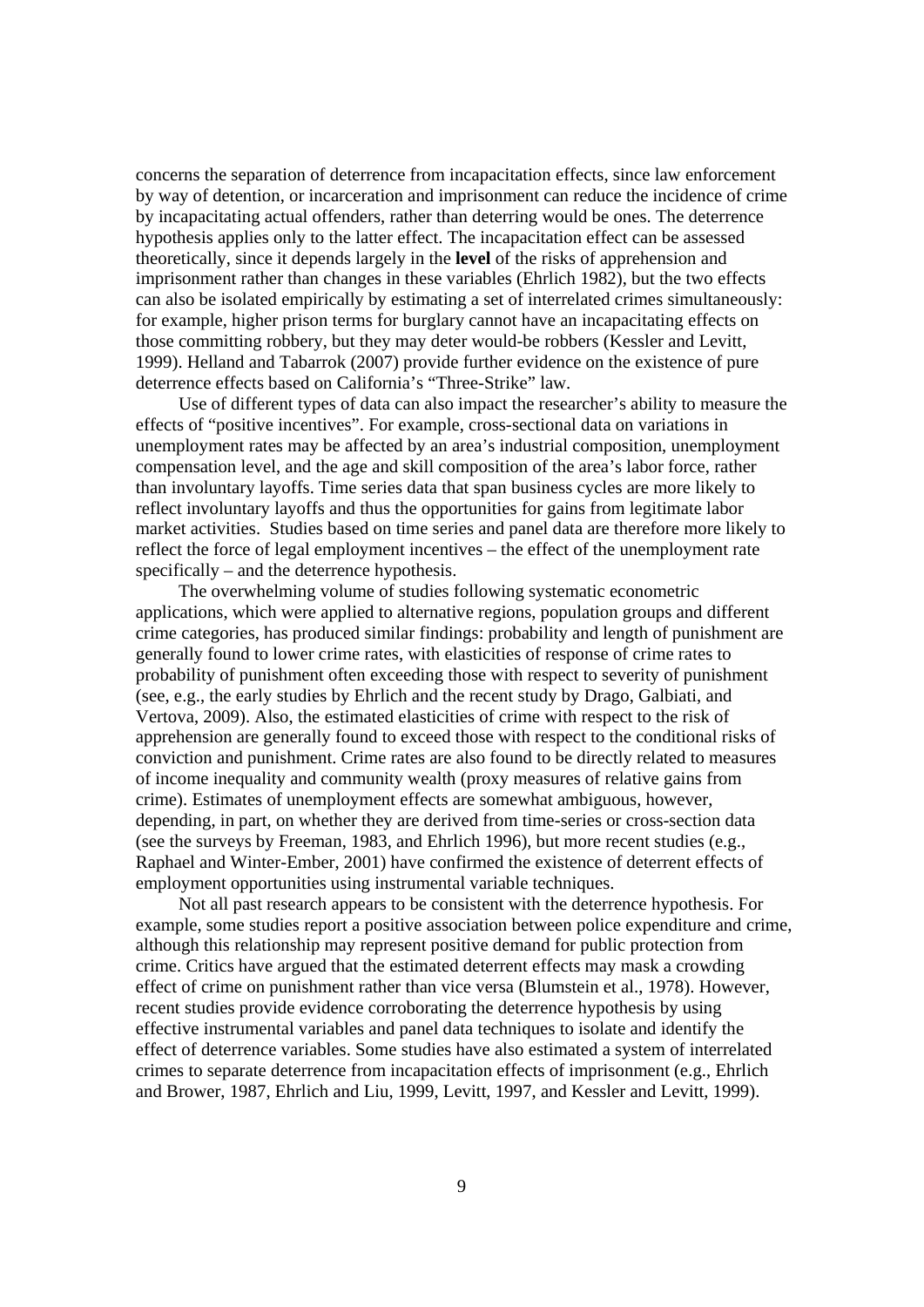concerns the separation of deterrence from incapacitation effects, since law enforcement by way of detention, or incarceration and imprisonment can reduce the incidence of crime by incapacitating actual offenders, rather than deterring would be ones. The deterrence hypothesis applies only to the latter effect. The incapacitation effect can be assessed theoretically, since it depends largely in the **level** of the risks of apprehension and imprisonment rather than changes in these variables (Ehrlich 1982), but the two effects can also be isolated empirically by estimating a set of interrelated crimes simultaneously: for example, higher prison terms for burglary cannot have an incapacitating effects on those committing robbery, but they may deter would-be robbers (Kessler and Levitt, 1999). Helland and Tabarrok (2007) provide further evidence on the existence of pure deterrence effects based on California's "Three-Strike" law.

Use of different types of data can also impact the researcher's ability to measure the effects of "positive incentives". For example, cross-sectional data on variations in unemployment rates may be affected by an area's industrial composition, unemployment compensation level, and the age and skill composition of the area's labor force, rather than involuntary layoffs. Time series data that span business cycles are more likely to reflect involuntary layoffs and thus the opportunities for gains from legitimate labor market activities. Studies based on time series and panel data are therefore more likely to reflect the force of legal employment incentives – the effect of the unemployment rate specifically – and the deterrence hypothesis.

The overwhelming volume of studies following systematic econometric applications, which were applied to alternative regions, population groups and different crime categories, has produced similar findings: probability and length of punishment are generally found to lower crime rates, with elasticities of response of crime rates to probability of punishment often exceeding those with respect to severity of punishment (see, e.g., the early studies by Ehrlich and the recent study by Drago, Galbiati, and Vertova, 2009). Also, the estimated elasticities of crime with respect to the risk of apprehension are generally found to exceed those with respect to the conditional risks of conviction and punishment. Crime rates are also found to be directly related to measures of income inequality and community wealth (proxy measures of relative gains from crime). Estimates of unemployment effects are somewhat ambiguous, however, depending, in part, on whether they are derived from time-series or cross-section data (see the surveys by Freeman, 1983, and Ehrlich 1996), but more recent studies (e.g., Raphael and Winter-Ember, 2001) have confirmed the existence of deterrent effects of employment opportunities using instrumental variable techniques.

Not all past research appears to be consistent with the deterrence hypothesis. For example, some studies report a positive association between police expenditure and crime, although this relationship may represent positive demand for public protection from crime. Critics have argued that the estimated deterrent effects may mask a crowding effect of crime on punishment rather than vice versa (Blumstein et al., 1978). However, recent studies provide evidence corroborating the deterrence hypothesis by using effective instrumental variables and panel data techniques to isolate and identify the effect of deterrence variables. Some studies have also estimated a system of interrelated crimes to separate deterrence from incapacitation effects of imprisonment (e.g., Ehrlich and Brower, 1987, Ehrlich and Liu, 1999, Levitt, 1997, and Kessler and Levitt, 1999).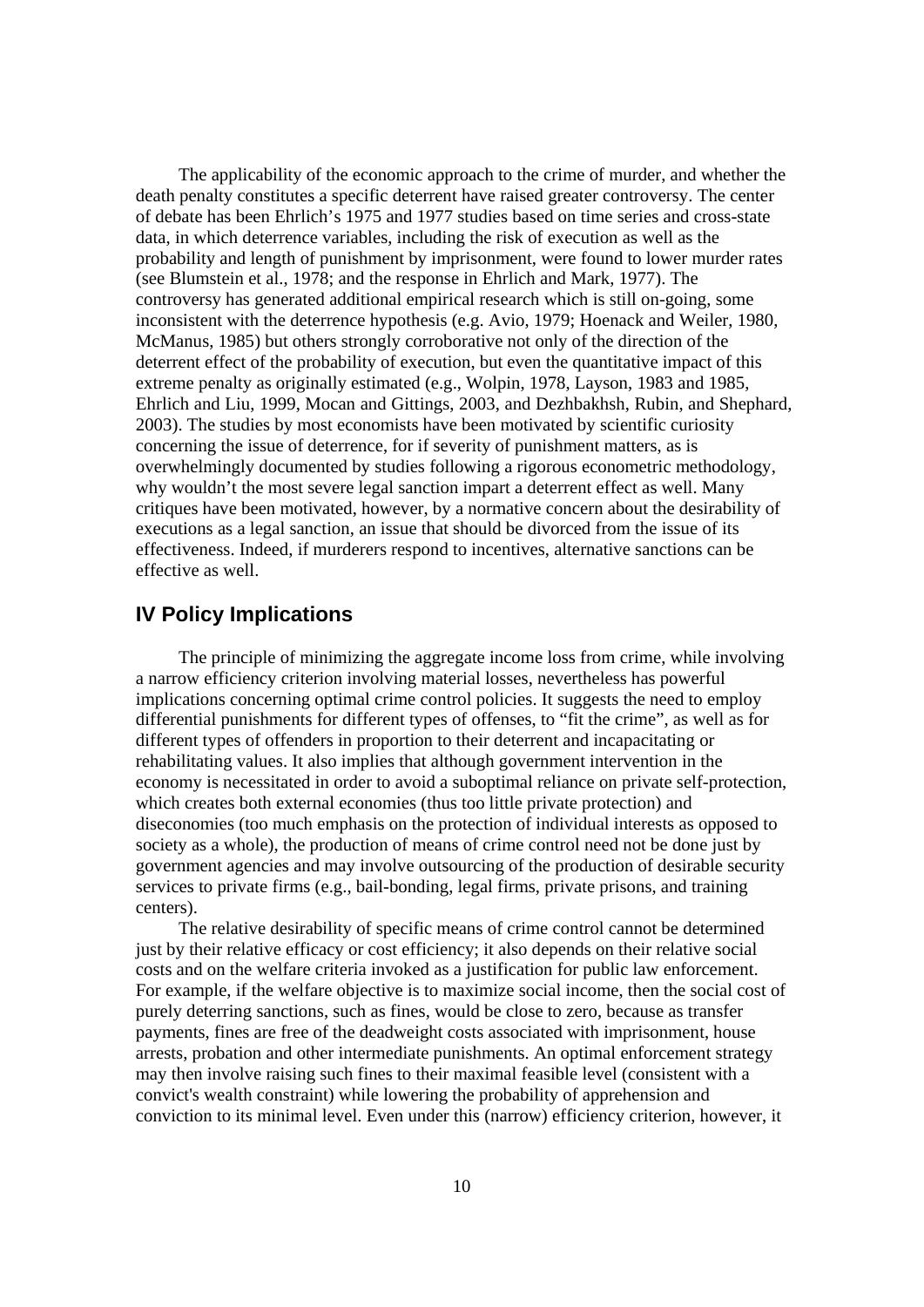The applicability of the economic approach to the crime of murder, and whether the death penalty constitutes a specific deterrent have raised greater controversy. The center of debate has been Ehrlich's 1975 and 1977 studies based on time series and cross-state data, in which deterrence variables, including the risk of execution as well as the probability and length of punishment by imprisonment, were found to lower murder rates (see Blumstein et al., 1978; and the response in Ehrlich and Mark, 1977). The controversy has generated additional empirical research which is still on-going, some inconsistent with the deterrence hypothesis (e.g. Avio, 1979; Hoenack and Weiler, 1980, McManus, 1985) but others strongly corroborative not only of the direction of the deterrent effect of the probability of execution, but even the quantitative impact of this extreme penalty as originally estimated (e.g., Wolpin, 1978, Layson, 1983 and 1985, Ehrlich and Liu, 1999, Mocan and Gittings, 2003, and Dezhbakhsh, Rubin, and Shephard, 2003). The studies by most economists have been motivated by scientific curiosity concerning the issue of deterrence, for if severity of punishment matters, as is overwhelmingly documented by studies following a rigorous econometric methodology, why wouldn't the most severe legal sanction impart a deterrent effect as well. Many critiques have been motivated, however, by a normative concern about the desirability of executions as a legal sanction, an issue that should be divorced from the issue of its effectiveness. Indeed, if murderers respond to incentives, alternative sanctions can be effective as well.

### **IV Policy Implications**

The principle of minimizing the aggregate income loss from crime, while involving a narrow efficiency criterion involving material losses, nevertheless has powerful implications concerning optimal crime control policies. It suggests the need to employ differential punishments for different types of offenses, to "fit the crime", as well as for different types of offenders in proportion to their deterrent and incapacitating or rehabilitating values. It also implies that although government intervention in the economy is necessitated in order to avoid a suboptimal reliance on private self-protection, which creates both external economies (thus too little private protection) and diseconomies (too much emphasis on the protection of individual interests as opposed to society as a whole), the production of means of crime control need not be done just by government agencies and may involve outsourcing of the production of desirable security services to private firms (e.g., bail-bonding, legal firms, private prisons, and training centers).

The relative desirability of specific means of crime control cannot be determined just by their relative efficacy or cost efficiency; it also depends on their relative social costs and on the welfare criteria invoked as a justification for public law enforcement. For example, if the welfare objective is to maximize social income, then the social cost of purely deterring sanctions, such as fines, would be close to zero, because as transfer payments, fines are free of the deadweight costs associated with imprisonment, house arrests, probation and other intermediate punishments. An optimal enforcement strategy may then involve raising such fines to their maximal feasible level (consistent with a convict's wealth constraint) while lowering the probability of apprehension and conviction to its minimal level. Even under this (narrow) efficiency criterion, however, it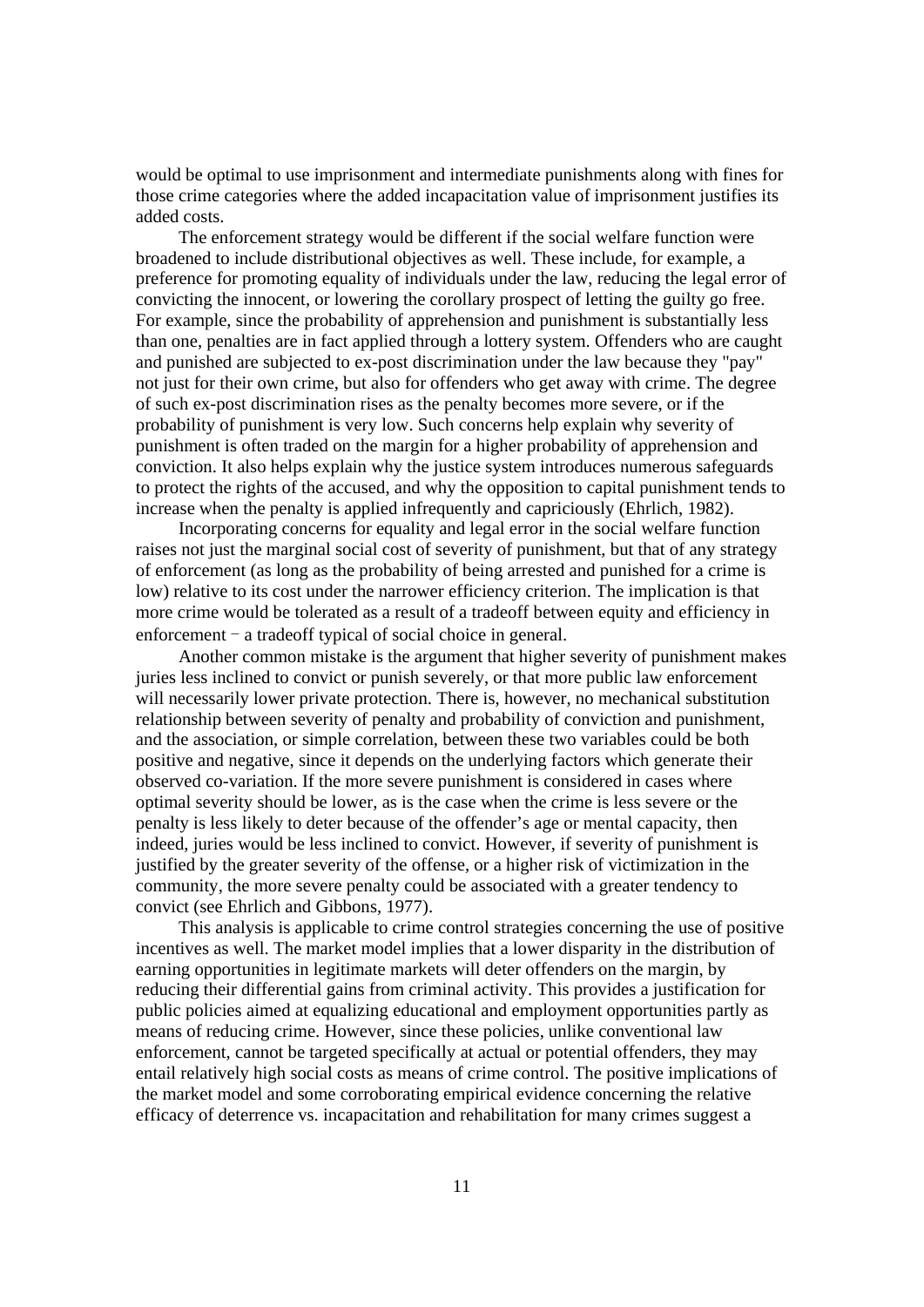would be optimal to use imprisonment and intermediate punishments along with fines for those crime categories where the added incapacitation value of imprisonment justifies its added costs.

The enforcement strategy would be different if the social welfare function were broadened to include distributional objectives as well. These include, for example, a preference for promoting equality of individuals under the law, reducing the legal error of convicting the innocent, or lowering the corollary prospect of letting the guilty go free. For example, since the probability of apprehension and punishment is substantially less than one, penalties are in fact applied through a lottery system. Offenders who are caught and punished are subjected to ex-post discrimination under the law because they "pay" not just for their own crime, but also for offenders who get away with crime. The degree of such ex-post discrimination rises as the penalty becomes more severe, or if the probability of punishment is very low. Such concerns help explain why severity of punishment is often traded on the margin for a higher probability of apprehension and conviction. It also helps explain why the justice system introduces numerous safeguards to protect the rights of the accused, and why the opposition to capital punishment tends to increase when the penalty is applied infrequently and capriciously (Ehrlich, 1982).

Incorporating concerns for equality and legal error in the social welfare function raises not just the marginal social cost of severity of punishment, but that of any strategy of enforcement (as long as the probability of being arrested and punished for a crime is low) relative to its cost under the narrower efficiency criterion. The implication is that more crime would be tolerated as a result of a tradeoff between equity and efficiency in enforcement - a tradeoff typical of social choice in general.

Another common mistake is the argument that higher severity of punishment makes juries less inclined to convict or punish severely, or that more public law enforcement will necessarily lower private protection. There is, however, no mechanical substitution relationship between severity of penalty and probability of conviction and punishment, and the association, or simple correlation, between these two variables could be both positive and negative, since it depends on the underlying factors which generate their observed co-variation. If the more severe punishment is considered in cases where optimal severity should be lower, as is the case when the crime is less severe or the penalty is less likely to deter because of the offender's age or mental capacity, then indeed, juries would be less inclined to convict. However, if severity of punishment is justified by the greater severity of the offense, or a higher risk of victimization in the community, the more severe penalty could be associated with a greater tendency to convict (see Ehrlich and Gibbons, 1977).

This analysis is applicable to crime control strategies concerning the use of positive incentives as well. The market model implies that a lower disparity in the distribution of earning opportunities in legitimate markets will deter offenders on the margin, by reducing their differential gains from criminal activity. This provides a justification for public policies aimed at equalizing educational and employment opportunities partly as means of reducing crime. However, since these policies, unlike conventional law enforcement, cannot be targeted specifically at actual or potential offenders, they may entail relatively high social costs as means of crime control. The positive implications of the market model and some corroborating empirical evidence concerning the relative efficacy of deterrence vs. incapacitation and rehabilitation for many crimes suggest a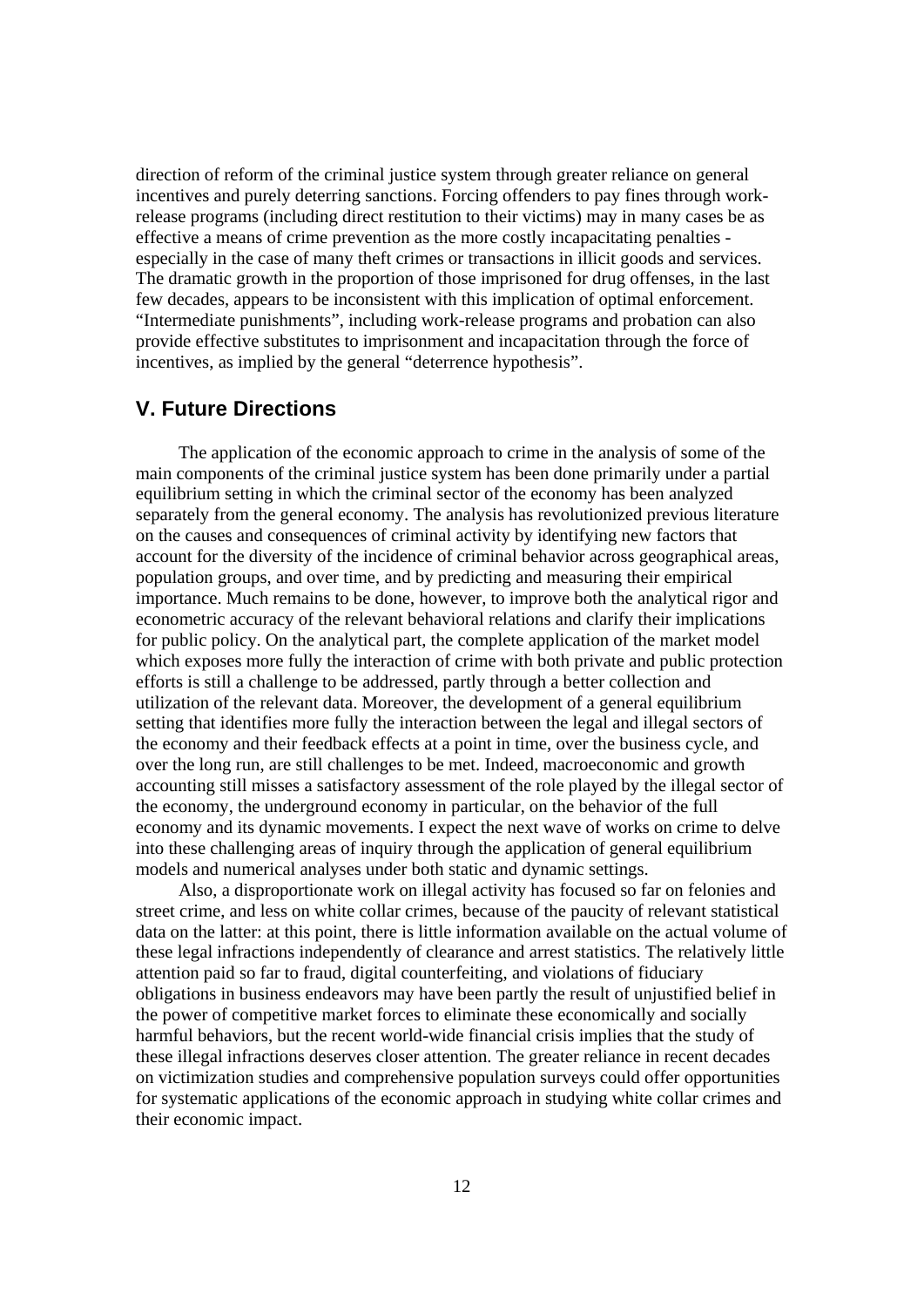direction of reform of the criminal justice system through greater reliance on general incentives and purely deterring sanctions. Forcing offenders to pay fines through workrelease programs (including direct restitution to their victims) may in many cases be as effective a means of crime prevention as the more costly incapacitating penalties especially in the case of many theft crimes or transactions in illicit goods and services. The dramatic growth in the proportion of those imprisoned for drug offenses, in the last few decades, appears to be inconsistent with this implication of optimal enforcement. "Intermediate punishments", including work-release programs and probation can also provide effective substitutes to imprisonment and incapacitation through the force of incentives, as implied by the general "deterrence hypothesis".

## **V. Future Directions**

The application of the economic approach to crime in the analysis of some of the main components of the criminal justice system has been done primarily under a partial equilibrium setting in which the criminal sector of the economy has been analyzed separately from the general economy. The analysis has revolutionized previous literature on the causes and consequences of criminal activity by identifying new factors that account for the diversity of the incidence of criminal behavior across geographical areas, population groups, and over time, and by predicting and measuring their empirical importance. Much remains to be done, however, to improve both the analytical rigor and econometric accuracy of the relevant behavioral relations and clarify their implications for public policy. On the analytical part, the complete application of the market model which exposes more fully the interaction of crime with both private and public protection efforts is still a challenge to be addressed, partly through a better collection and utilization of the relevant data. Moreover, the development of a general equilibrium setting that identifies more fully the interaction between the legal and illegal sectors of the economy and their feedback effects at a point in time, over the business cycle, and over the long run, are still challenges to be met. Indeed, macroeconomic and growth accounting still misses a satisfactory assessment of the role played by the illegal sector of the economy, the underground economy in particular, on the behavior of the full economy and its dynamic movements. I expect the next wave of works on crime to delve into these challenging areas of inquiry through the application of general equilibrium models and numerical analyses under both static and dynamic settings.

Also, a disproportionate work on illegal activity has focused so far on felonies and street crime, and less on white collar crimes, because of the paucity of relevant statistical data on the latter: at this point, there is little information available on the actual volume of these legal infractions independently of clearance and arrest statistics. The relatively little attention paid so far to fraud, digital counterfeiting, and violations of fiduciary obligations in business endeavors may have been partly the result of unjustified belief in the power of competitive market forces to eliminate these economically and socially harmful behaviors, but the recent world-wide financial crisis implies that the study of these illegal infractions deserves closer attention. The greater reliance in recent decades on victimization studies and comprehensive population surveys could offer opportunities for systematic applications of the economic approach in studying white collar crimes and their economic impact.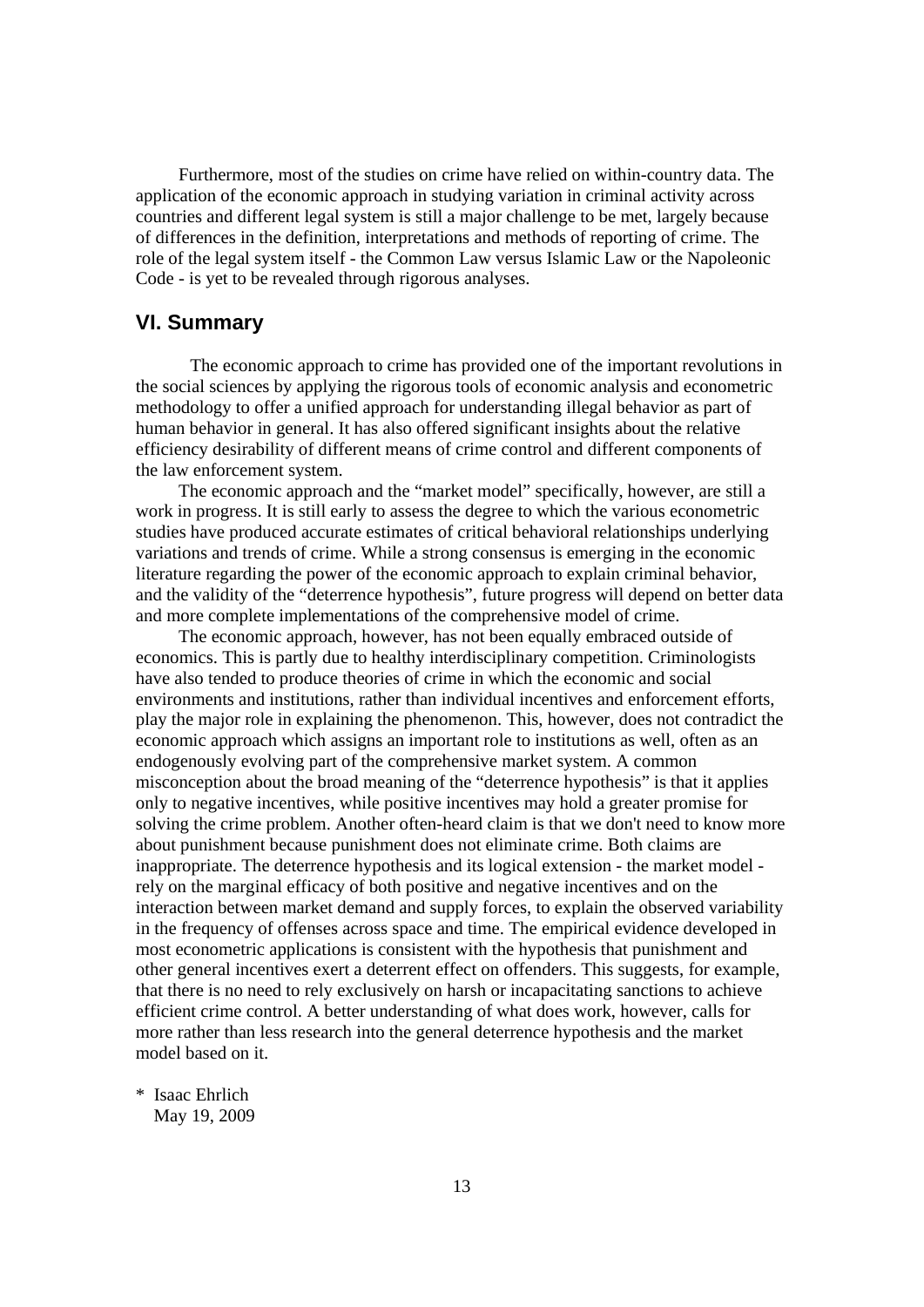Furthermore, most of the studies on crime have relied on within-country data. The application of the economic approach in studying variation in criminal activity across countries and different legal system is still a major challenge to be met, largely because of differences in the definition, interpretations and methods of reporting of crime. The role of the legal system itself - the Common Law versus Islamic Law or the Napoleonic Code - is yet to be revealed through rigorous analyses.

### **VI. Summary**

The economic approach to crime has provided one of the important revolutions in the social sciences by applying the rigorous tools of economic analysis and econometric methodology to offer a unified approach for understanding illegal behavior as part of human behavior in general. It has also offered significant insights about the relative efficiency desirability of different means of crime control and different components of the law enforcement system.

The economic approach and the "market model" specifically, however, are still a work in progress. It is still early to assess the degree to which the various econometric studies have produced accurate estimates of critical behavioral relationships underlying variations and trends of crime. While a strong consensus is emerging in the economic literature regarding the power of the economic approach to explain criminal behavior, and the validity of the "deterrence hypothesis", future progress will depend on better data and more complete implementations of the comprehensive model of crime.

The economic approach, however, has not been equally embraced outside of economics. This is partly due to healthy interdisciplinary competition. Criminologists have also tended to produce theories of crime in which the economic and social environments and institutions, rather than individual incentives and enforcement efforts, play the major role in explaining the phenomenon. This, however, does not contradict the economic approach which assigns an important role to institutions as well, often as an endogenously evolving part of the comprehensive market system. A common misconception about the broad meaning of the "deterrence hypothesis" is that it applies only to negative incentives, while positive incentives may hold a greater promise for solving the crime problem. Another often-heard claim is that we don't need to know more about punishment because punishment does not eliminate crime. Both claims are inappropriate. The deterrence hypothesis and its logical extension - the market model rely on the marginal efficacy of both positive and negative incentives and on the interaction between market demand and supply forces, to explain the observed variability in the frequency of offenses across space and time. The empirical evidence developed in most econometric applications is consistent with the hypothesis that punishment and other general incentives exert a deterrent effect on offenders. This suggests, for example, that there is no need to rely exclusively on harsh or incapacitating sanctions to achieve efficient crime control. A better understanding of what does work, however, calls for more rather than less research into the general deterrence hypothesis and the market model based on it.

\* Isaac Ehrlich May 19, 2009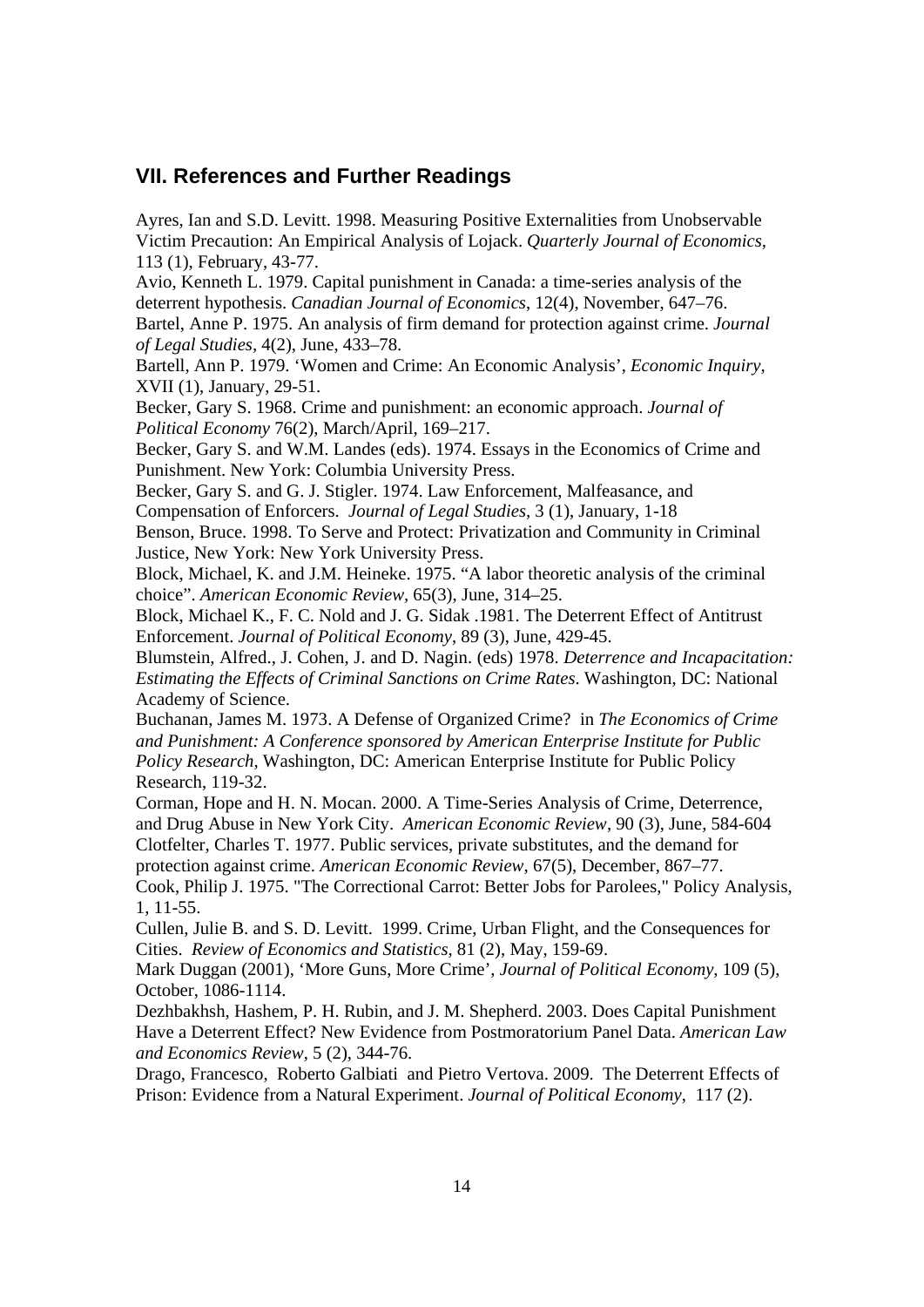## **VII. References and Further Readings**

Ayres, Ian and S.D. Levitt. 1998. Measuring Positive Externalities from Unobservable Victim Precaution: An Empirical Analysis of Lojack. *Quarterly Journal of Economics,* 113 (1), February, 43-77.

Avio, Kenneth L. 1979. Capital punishment in Canada: a time-series analysis of the deterrent hypothesis. *Canadian Journal of Economics*, 12(4), November, 647–76. Bartel, Anne P. 1975. An analysis of firm demand for protection against crime. *Journal of Legal Studies,* 4(2), June, 433–78.

Bartell, Ann P. 1979. 'Women and Crime: An Economic Analysis', *Economic Inquiry,* XVII (1), January, 29-51.

Becker, Gary S. 1968. Crime and punishment: an economic approach. *Journal of Political Economy* 76(2), March/April, 169–217.

Becker, Gary S. and W.M. Landes (eds). 1974. Essays in the Economics of Crime and Punishment. New York: Columbia University Press.

Becker, Gary S. and G. J. Stigler. 1974. Law Enforcement, Malfeasance, and

Compensation of Enforcers. *Journal of Legal Studies,* 3 (1), January, 1-18 Benson, Bruce. 1998. To Serve and Protect: Privatization and Community in Criminal

Justice, New York: New York University Press.

Block, Michael, K. and J.M. Heineke. 1975. "A labor theoretic analysis of the criminal choice". *American Economic Review,* 65(3), June, 314–25.

Block, Michael K., F. C. Nold and J. G. Sidak .1981. The Deterrent Effect of Antitrust Enforcement. *Journal of Political Economy*, 89 (3), June, 429-45.

Blumstein, Alfred., J. Cohen, J. and D. Nagin. (eds) 1978. *Deterrence and Incapacitation: Estimating the Effects of Criminal Sanctions on Crime Rates*. Washington, DC: National Academy of Science.

Buchanan, James M. 1973. A Defense of Organized Crime? in *The Economics of Crime and Punishment: A Conference sponsored by American Enterprise Institute for Public Policy Research,* Washington, DC: American Enterprise Institute for Public Policy Research, 119-32.

Corman, Hope and H. N. Mocan. 2000. A Time-Series Analysis of Crime, Deterrence, and Drug Abuse in New York City. *American Economic Review*, 90 (3), June, 584-604 Clotfelter, Charles T. 1977. Public services, private substitutes, and the demand for

protection against crime. *American Economic Review,* 67(5), December, 867–77.

Cook, Philip J. 1975. "The Correctional Carrot: Better Jobs for Parolees," Policy Analysis, 1, 11-55.

Cullen, Julie B. and S. D. Levitt. 1999. Crime, Urban Flight, and the Consequences for Cities. *Review of Economics and Statistics*, 81 (2), May, 159-69.

Mark Duggan (2001), 'More Guns, More Crime', *Journal of Political Economy*, 109 (5), October, 1086-1114.

Dezhbakhsh, Hashem, P. H. Rubin, and J. M. Shepherd. 2003. Does Capital Punishment Have a Deterrent Effect? New Evidence from Postmoratorium Panel Data. *American Law and Economics Review*, 5 (2), 344-76.

Drago, Francesco, Roberto Galbiati and Pietro Vertova. 2009. The Deterrent Effects of Prison: Evidence from a Natural Experiment. *Journal of Political Economy*, 117 (2).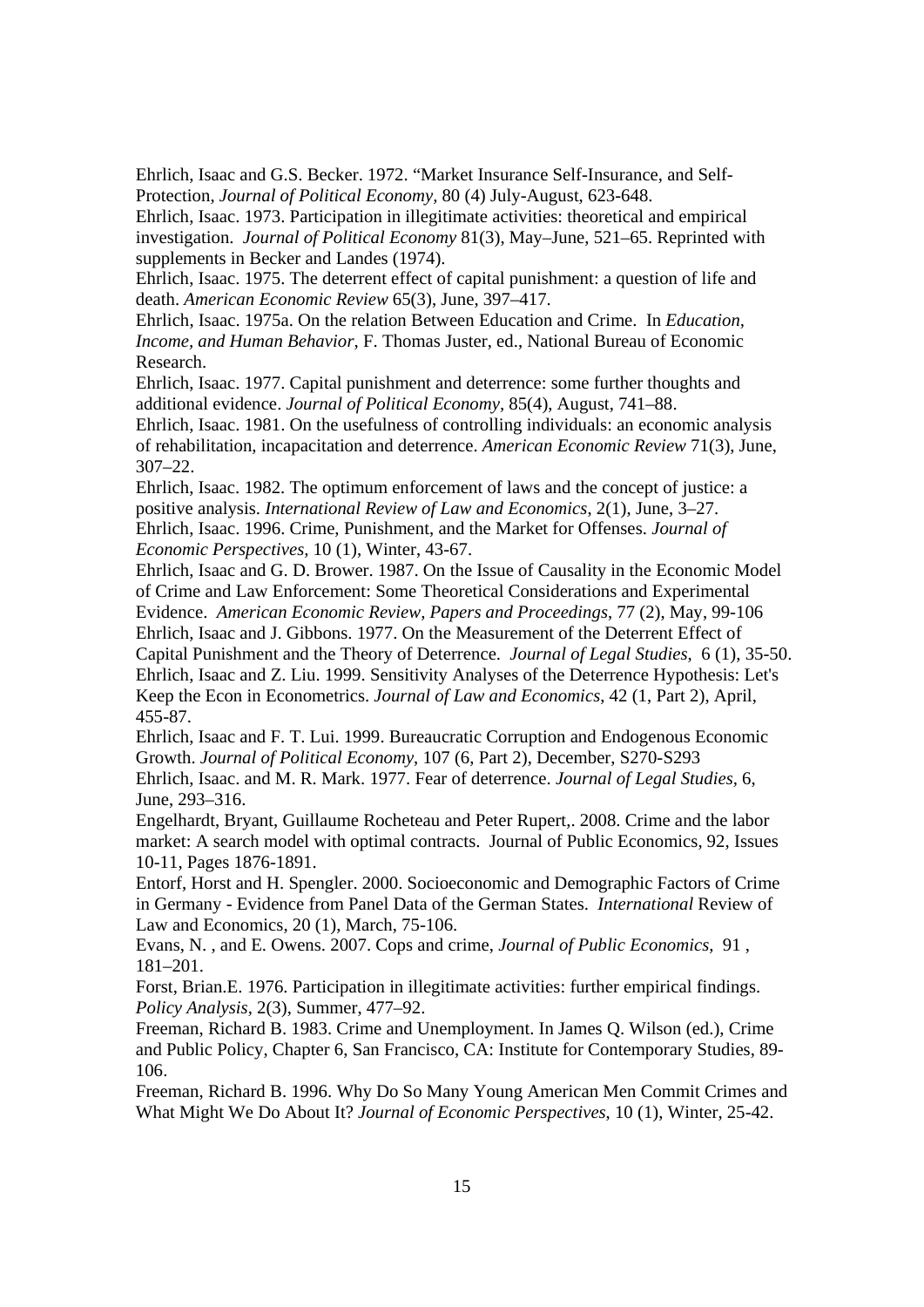Ehrlich, Isaac and G.S. Becker. 1972. "Market Insurance Self-Insurance, and Self-Protection, *Journal of Political Economy,* 80 (4) July-August, 623-648.

Ehrlich, Isaac. 1973. Participation in illegitimate activities: theoretical and empirical investigation. *Journal of Political Economy* 81(3), May–June, 521–65. Reprinted with supplements in Becker and Landes (1974).

Ehrlich, Isaac. 1975. The deterrent effect of capital punishment: a question of life and death. *American Economic Review* 65(3), June, 397–417.

Ehrlich, Isaac. 1975a. On the relation Between Education and Crime. In *Education, Income, and Human Behavior*, F. Thomas Juster, ed., National Bureau of Economic Research.

Ehrlich, Isaac. 1977. Capital punishment and deterrence: some further thoughts and additional evidence. *Journal of Political Economy,* 85(4), August, 741–88.

Ehrlich, Isaac. 1981. On the usefulness of controlling individuals: an economic analysis of rehabilitation, incapacitation and deterrence. *American Economic Review* 71(3), June, 307–22.

Ehrlich, Isaac. 1982. The optimum enforcement of laws and the concept of justice: a positive analysis. *International Review of Law and Economics*, 2(1), June, 3–27. Ehrlich, Isaac. 1996. Crime, Punishment, and the Market for Offenses. *Journal of Economic Perspectives,* 10 (1), Winter, 43-67.

Ehrlich, Isaac and G. D. Brower. 1987. On the Issue of Causality in the Economic Model of Crime and Law Enforcement: Some Theoretical Considerations and Experimental Evidence. *American Economic Review, Papers and Proceedings*, 77 (2), May, 99-106 Ehrlich, Isaac and J. Gibbons. 1977. On the Measurement of the Deterrent Effect of Capital Punishment and the Theory of Deterrence. *Journal of Legal Studies*, 6 (1), 35-50. Ehrlich, Isaac and Z. Liu. 1999. Sensitivity Analyses of the Deterrence Hypothesis: Let's Keep the Econ in Econometrics. *Journal of Law and Economics*, 42 (1, Part 2), April, 455-87.

Ehrlich, Isaac and F. T. Lui. 1999. Bureaucratic Corruption and Endogenous Economic Growth. *Journal of Political Economy*, 107 (6, Part 2), December, S270-S293 Ehrlich, Isaac. and M. R. Mark. 1977. Fear of deterrence. *Journal of Legal Studies,* 6, June, 293–316.

Engelhardt, Bryant, Guillaume Rocheteau and Peter Rupert,. 2008. Crime and the labor market: A search model with optimal contracts. Journal of Public Economics, 92, Issues 10-11, Pages 1876-1891.

Entorf, Horst and H. Spengler. 2000. Socioeconomic and Demographic Factors of Crime in Germany - Evidence from Panel Data of the German States. *International* Review of Law and Economics, 20 (1), March, 75-106.

Evans, N. , and E. Owens. 2007. Cops and crime, *Journal of Public Economics*, 91 , 181–201.

Forst, Brian.E. 1976. Participation in illegitimate activities: further empirical findings. *Policy Analysis,* 2(3), Summer, 477–92.

Freeman, Richard B. 1983. Crime and Unemployment. In James Q. Wilson (ed.), Crime and Public Policy, Chapter 6, San Francisco, CA: Institute for Contemporary Studies, 89- 106.

Freeman, Richard B. 1996. Why Do So Many Young American Men Commit Crimes and What Might We Do About It? *Journal of Economic Perspectives*, 10 (1), Winter, 25-42.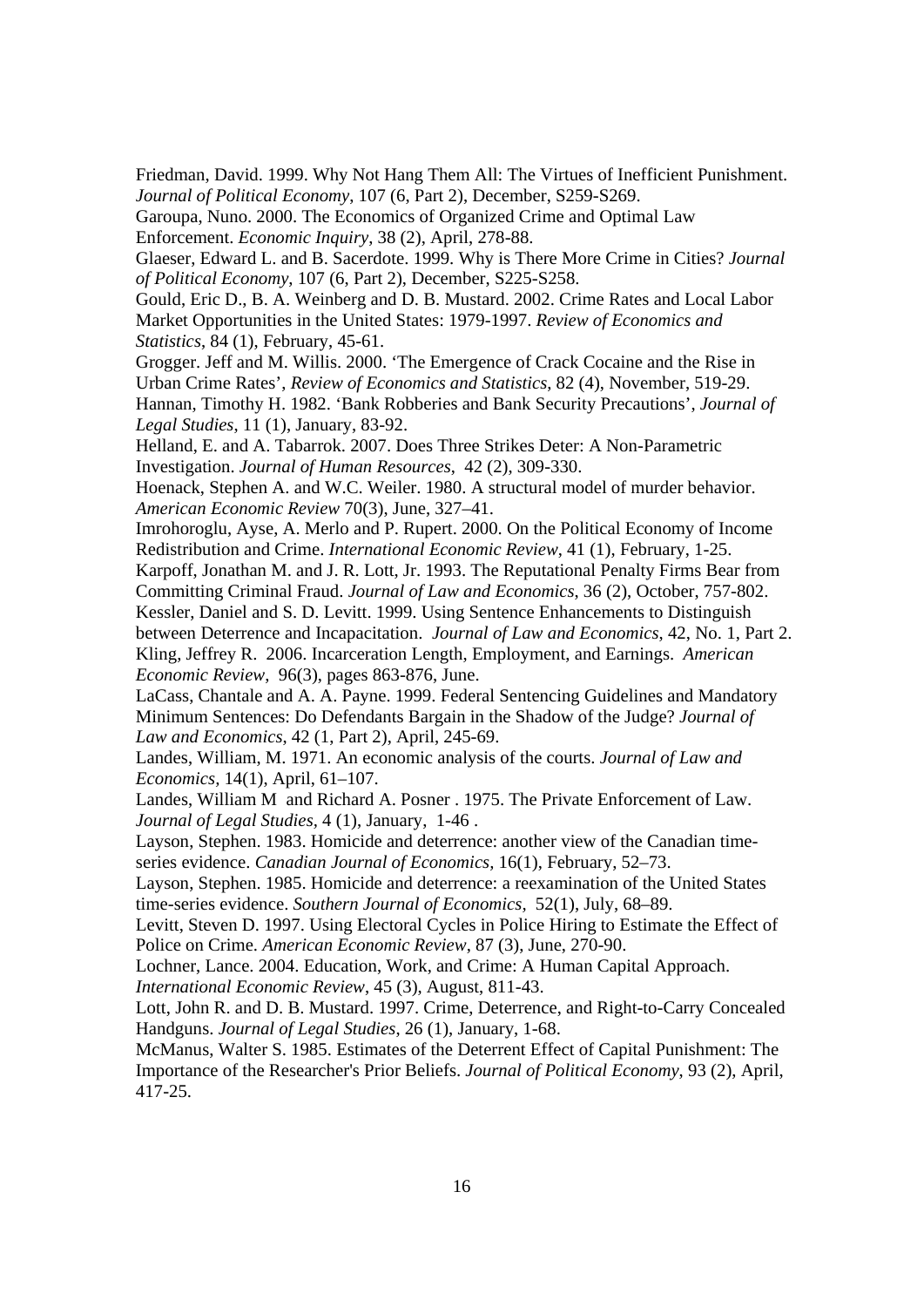Friedman, David. 1999. Why Not Hang Them All: The Virtues of Inefficient Punishment. *Journal of Political Economy*, 107 (6, Part 2), December, S259-S269.

Garoupa, Nuno. 2000. The Economics of Organized Crime and Optimal Law Enforcement. *Economic Inquiry*, 38 (2), April, 278-88.

Glaeser, Edward L. and B. Sacerdote. 1999. Why is There More Crime in Cities? *Journal of Political Economy*, 107 (6, Part 2), December, S225-S258.

Gould, Eric D., B. A. Weinberg and D. B. Mustard. 2002. Crime Rates and Local Labor Market Opportunities in the United States: 1979-1997. *Review of Economics and Statistics*, 84 (1), February, 45-61.

Grogger. Jeff and M. Willis. 2000. 'The Emergence of Crack Cocaine and the Rise in Urban Crime Rates', *Review of Economics and Statistics*, 82 (4), November, 519-29. Hannan, Timothy H. 1982. 'Bank Robberies and Bank Security Precautions', *Journal of Legal Studies*, 11 (1), January, 83-92.

Helland, E. and A. Tabarrok. 2007. Does Three Strikes Deter: A Non-Parametric Investigation. *Journal of Human Resources*, 42 (2), 309-330.

Hoenack, Stephen A. and W.C. Weiler. 1980. A structural model of murder behavior. *American Economic Review* 70(3), June, 327–41.

Imrohoroglu, Ayse, A. Merlo and P. Rupert. 2000. On the Political Economy of Income Redistribution and Crime. *International Economic Review*, 41 (1), February, 1-25.

Karpoff, Jonathan M. and J. R. Lott, Jr. 1993. The Reputational Penalty Firms Bear from Committing Criminal Fraud. *Journal of Law and Economics*, 36 (2), October, 757-802.

Kessler, Daniel and S. D. Levitt. 1999. Using Sentence Enhancements to Distinguish between Deterrence and Incapacitation. *Journal of Law and Economics*, 42, No. 1, Part 2. Kling, Jeffrey R. 2006. Incarceration Length, Employment, and Earnings. *American Economic Review*, 96(3), pages 863-876, June.

LaCass, Chantale and A. A. Payne. 1999. Federal Sentencing Guidelines and Mandatory Minimum Sentences: Do Defendants Bargain in the Shadow of the Judge? *Journal of Law and Economics*, 42 (1, Part 2), April, 245-69.

Landes, William, M. 1971. An economic analysis of the courts. *Journal of Law and Economics,* 14(1), April, 61–107.

Landes, William M and Richard A. Posner . 1975. The Private Enforcement of Law. *Journal of Legal Studies,* 4 (1), January, 1-46 .

Layson, Stephen. 1983. Homicide and deterrence: another view of the Canadian timeseries evidence. *Canadian Journal of Economics,* 16(1), February, 52–73.

Layson, Stephen. 1985. Homicide and deterrence: a reexamination of the United States time-series evidence. *Southern Journal of Economics,* 52(1), July, 68–89.

Levitt, Steven D. 1997. Using Electoral Cycles in Police Hiring to Estimate the Effect of Police on Crime. *American Economic Review*, 87 (3), June, 270-90.

Lochner, Lance. 2004. Education, Work, and Crime: A Human Capital Approach. *International Economic Review*, 45 (3), August, 811-43.

Lott, John R. and D. B. Mustard. 1997. Crime, Deterrence, and Right-to-Carry Concealed Handguns. *Journal of Legal Studies*, 26 (1), January, 1-68.

McManus, Walter S. 1985. Estimates of the Deterrent Effect of Capital Punishment: The Importance of the Researcher's Prior Beliefs. *Journal of Political Economy*, 93 (2), April, 417-25.